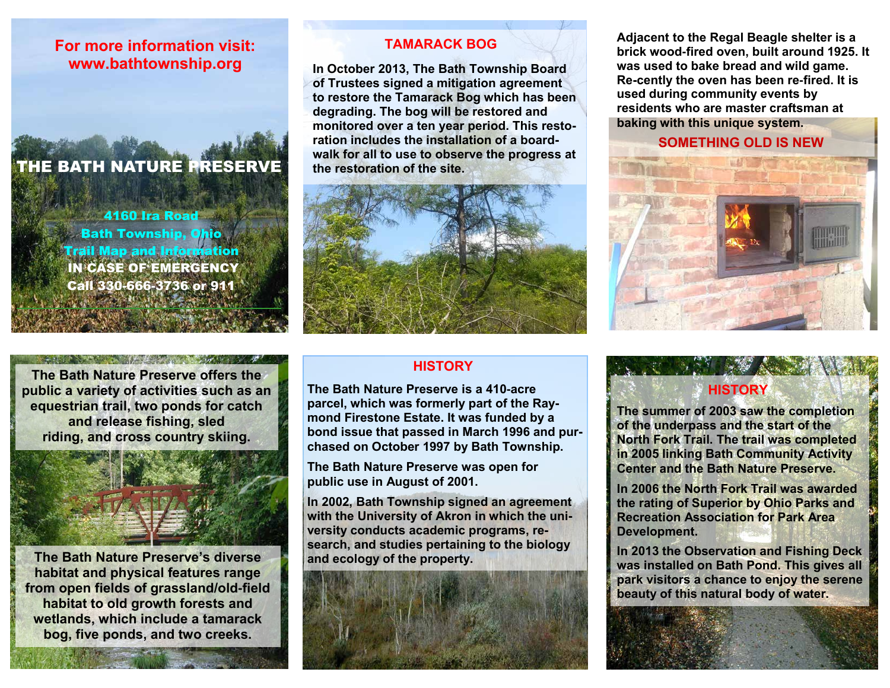### **For more information visit: www.bathtownship.org**

## THE BATH NATURE PRESERVE

4160 Ira Road **Bath Township, Ohio** Trail Map and Information IN CASE OF EMERGENCY Call 330-666-3736 or 911

**The Bath Nature Preserve offers the public a variety of activities such as an equestrian trail, two ponds for catch and release fishing, sled riding, and cross country skiing.**



**The Bath Nature Preserve's diverse habitat and physical features range from open fields of grassland/old-field habitat to old growth forests and wetlands, which include a tamarack bog, five ponds, and two creeks.**

#### **TAMARACK BOG**

**In October 2013, The Bath Township Board of Trustees signed a mitigation agreement to restore the Tamarack Bog which has been degrading. The bog will be restored and monitored over a ten year period. This restoration includes the installation of a boardwalk for all to use to observe the progress at the restoration of the site.**



#### **HISTORY**

**The Bath Nature Preserve is a 410-acre parcel, which was formerly part of the Raymond Firestone Estate. It was funded by a bond issue that passed in March 1996 and purchased on October 1997 by Bath Township.**

**The Bath Nature Preserve was open for public use in August of 2001.** 

**In 2002, Bath Township signed an agreement with the University of Akron in which the university conducts academic programs, research, and studies pertaining to the biology and ecology of the property.** 



**Adjacent to the Regal Beagle shelter is a brick wood-fired oven, built around 1925. It was used to bake bread and wild game. Re-cently the oven has been re-fired. It is used during community events by residents who are master craftsman at baking with this unique system.**

**SOMETHING OLD IS NEW**



#### **HISTORY**

**The summer of 2003 saw the completion of the underpass and the start of the North Fork Trail. The trail was completed in 2005 linking Bath Community Activity Center and the Bath Nature Preserve.**

**In 2006 the North Fork Trail was awarded the rating of Superior by Ohio Parks and Recreation Association for Park Area Development.**

**In 2013 the Observation and Fishing Deck was installed on Bath Pond. This gives all park visitors a chance to enjoy the serene beauty of this natural body of water.**